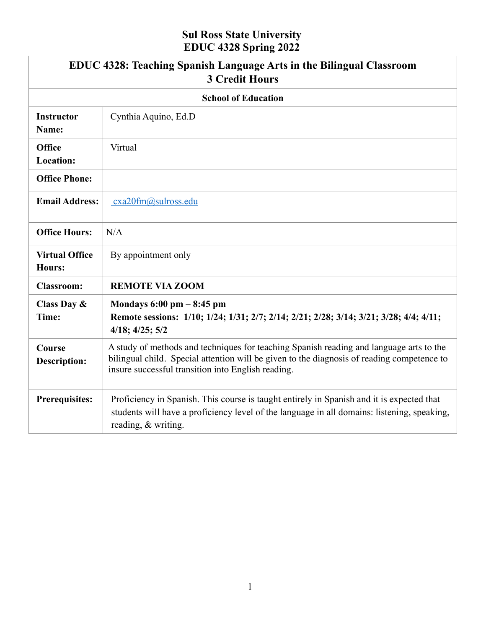# **Sul Ross State University EDUC 4328 Spring 2022**

|                                   | EDUC 4328: Teaching Spanish Language Arts in the Bilingual Classroom<br><b>3 Credit Hours</b>                                                                                                                                               |  |
|-----------------------------------|---------------------------------------------------------------------------------------------------------------------------------------------------------------------------------------------------------------------------------------------|--|
| <b>School of Education</b>        |                                                                                                                                                                                                                                             |  |
| <b>Instructor</b><br>Name:        | Cynthia Aquino, Ed.D                                                                                                                                                                                                                        |  |
| <b>Office</b><br><b>Location:</b> | Virtual                                                                                                                                                                                                                                     |  |
| <b>Office Phone:</b>              |                                                                                                                                                                                                                                             |  |
| <b>Email Address:</b>             | cxa20fm@sulross.edu                                                                                                                                                                                                                         |  |
| <b>Office Hours:</b>              | N/A                                                                                                                                                                                                                                         |  |
| <b>Virtual Office</b><br>Hours:   | By appointment only                                                                                                                                                                                                                         |  |
| <b>Classroom:</b>                 | <b>REMOTE VIA ZOOM</b>                                                                                                                                                                                                                      |  |
| Class Day &<br>Time:              | Mondays $6:00 \text{ pm} - 8:45 \text{ pm}$<br>Remote sessions: 1/10; 1/24; 1/31; 2/7; 2/14; 2/21; 2/28; 3/14; 3/21; 3/28; 4/4; 4/11;<br>$4/18$ ; $4/25$ ; $5/2$                                                                            |  |
| Course<br><b>Description:</b>     | A study of methods and techniques for teaching Spanish reading and language arts to the<br>bilingual child. Special attention will be given to the diagnosis of reading competence to<br>insure successful transition into English reading. |  |
| <b>Prerequisites:</b>             | Proficiency in Spanish. This course is taught entirely in Spanish and it is expected that<br>students will have a proficiency level of the language in all domains: listening, speaking,<br>reading, & writing.                             |  |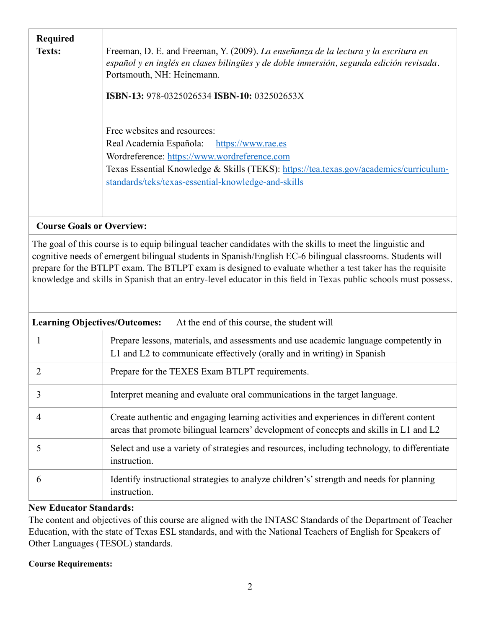| <b>Required</b><br>Texts: | Freeman, D. E. and Freeman, Y. (2009). La enseñanza de la lectura y la escritura en<br>español y en inglés en clases bilingües y de doble inmersión, segunda edición revisada.<br>Portsmouth, NH: Heinemann.<br><b>ISBN-13:</b> 978-0325026534 <b>ISBN-10:</b> 032502653X   |
|---------------------------|-----------------------------------------------------------------------------------------------------------------------------------------------------------------------------------------------------------------------------------------------------------------------------|
|                           | Free websites and resources:<br>Real Academia Española: https://www.rae.es<br>Wordreference: https://www.wordreference.com<br>Texas Essential Knowledge & Skills (TEKS): https://tea.texas.gov/academics/curriculum-<br>standards/teks/texas-essential-knowledge-and-skills |

# **Course Goals or Overview:**

The goal of this course is to equip bilingual teacher candidates with the skills to meet the linguistic and cognitive needs of emergent bilingual students in Spanish/English EC-6 bilingual classrooms. Students will prepare for the BTLPT exam. The BTLPT exam is designed to evaluate whether a test taker has the requisite knowledge and skills in Spanish that an entry-level educator in this field in Texas public schools must possess.

| <b>Learning Objectives/Outcomes:</b> | At the end of this course, the student will                                                                                                                                      |
|--------------------------------------|----------------------------------------------------------------------------------------------------------------------------------------------------------------------------------|
|                                      | Prepare lessons, materials, and assessments and use academic language competently in<br>L1 and L2 to communicate effectively (orally and in writing) in Spanish                  |
|                                      | Prepare for the TEXES Exam BTLPT requirements.                                                                                                                                   |
| 3                                    | Interpret meaning and evaluate oral communications in the target language.                                                                                                       |
| 4                                    | Create authentic and engaging learning activities and experiences in different content<br>areas that promote bilingual learners' development of concepts and skills in L1 and L2 |
| 5                                    | Select and use a variety of strategies and resources, including technology, to differentiate<br>instruction.                                                                     |
| 6                                    | Identify instructional strategies to analyze children's' strength and needs for planning<br>instruction.                                                                         |

### **New Educator Standards:**

The content and objectives of this course are aligned with the INTASC Standards of the Department of Teacher Education, with the state of Texas ESL standards, and with the National Teachers of English for Speakers of Other Languages (TESOL) standards.

## **Course Requirements:**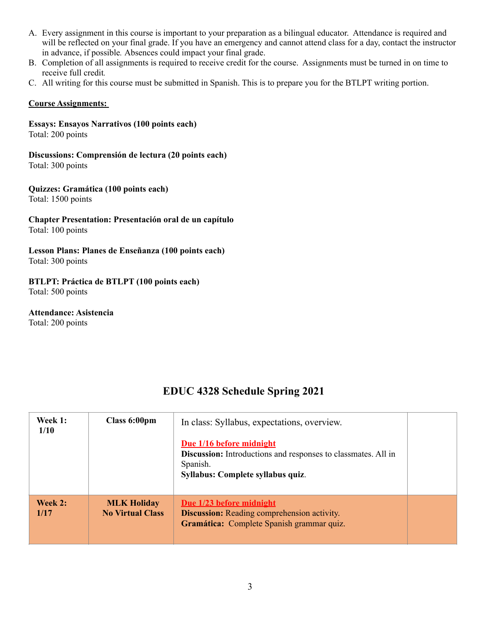- A. Every assignment in this course is important to your preparation as a bilingual educator. Attendance is required and will be reflected on your final grade. If you have an emergency and cannot attend class for a day, contact the instructor in advance, if possible*.* Absences could impact your final grade.
- B. Completion of all assignments is required to receive credit for the course. Assignments must be turned in on time to receive full credit*.*
- C. All writing for this course must be submitted in Spanish. This is to prepare you for the BTLPT writing portion.

### **Course Assignments:**

**Essays: Ensayos Narrativos (100 points each)**  Total: 200 points

**Discussions: Comprensión de lectura (20 points each)** Total: 300 points

**Quizzes: Gramática (100 points each)**  Total: 1500 points

**Chapter Presentation: Presentación oral de un capítulo**  Total: 100 points

**Lesson Plans: Planes de Enseñanza (100 points each)**  Total: 300 points

**BTLPT: Práctica de BTLPT (100 points each)**  Total: 500 points

**Attendance: Asistencia** Total: 200 points

# **EDUC 4328 Schedule Spring 2021**

| Week 1:<br>1/10 | Class 6:00pm                                  | In class: Syllabus, expectations, overview.<br>Due 1/16 before midnight<br><b>Discussion:</b> Introductions and responses to classmates. All in<br>Spanish.<br>Syllabus: Complete syllabus quiz. |  |
|-----------------|-----------------------------------------------|--------------------------------------------------------------------------------------------------------------------------------------------------------------------------------------------------|--|
| Week 2:<br>1/17 | <b>MLK Holiday</b><br><b>No Virtual Class</b> | Due 1/23 before midnight<br><b>Discussion:</b> Reading comprehension activity.<br>Gramática: Complete Spanish grammar quiz.                                                                      |  |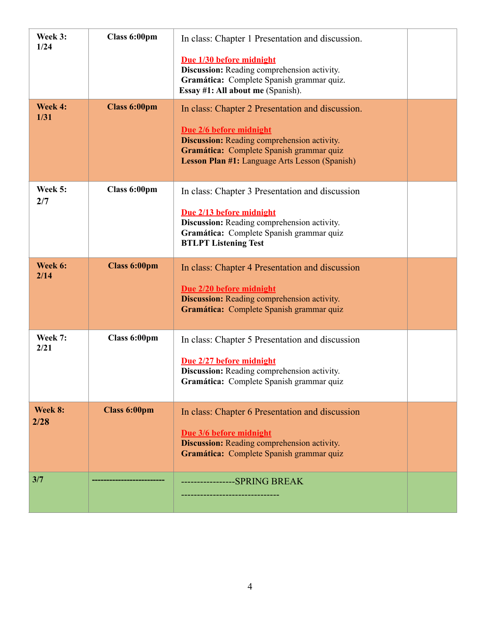| Week 3:<br>1/24 | Class 6:00pm        | In class: Chapter 1 Presentation and discussion.<br>Due 1/30 before midnight<br>Discussion: Reading comprehension activity.<br>Gramática: Complete Spanish grammar quiz.<br>Essay #1: All about me (Spanish).                   |  |
|-----------------|---------------------|---------------------------------------------------------------------------------------------------------------------------------------------------------------------------------------------------------------------------------|--|
| Week 4:<br>1/31 | <b>Class 6:00pm</b> | In class: Chapter 2 Presentation and discussion.<br>Due 2/6 before midnight<br><b>Discussion:</b> Reading comprehension activity.<br>Gramática: Complete Spanish grammar quiz<br>Lesson Plan #1: Language Arts Lesson (Spanish) |  |
| Week 5:<br>2/7  | Class 6:00pm        | In class: Chapter 3 Presentation and discussion<br>Due 2/13 before midnight<br>Discussion: Reading comprehension activity.<br>Gramática: Complete Spanish grammar quiz<br><b>BTLPT Listening Test</b>                           |  |
| Week 6:<br>2/14 | <b>Class 6:00pm</b> | In class: Chapter 4 Presentation and discussion<br>Due 2/20 before midnight<br><b>Discussion:</b> Reading comprehension activity.<br>Gramática: Complete Spanish grammar quiz                                                   |  |
| Week 7:<br>2/21 | Class 6:00pm        | In class: Chapter 5 Presentation and discussion<br>Due 2/27 before midnight<br>Discussion: Reading comprehension activity.<br>Gramática: Complete Spanish grammar quiz                                                          |  |
| Week 8:<br>2/28 | <b>Class 6:00pm</b> | In class: Chapter 6 Presentation and discussion<br>Due 3/6 before midnight<br><b>Discussion:</b> Reading comprehension activity.<br>Gramática: Complete Spanish grammar quiz                                                    |  |
| 3/7             |                     | -----------------SPRING BREAK                                                                                                                                                                                                   |  |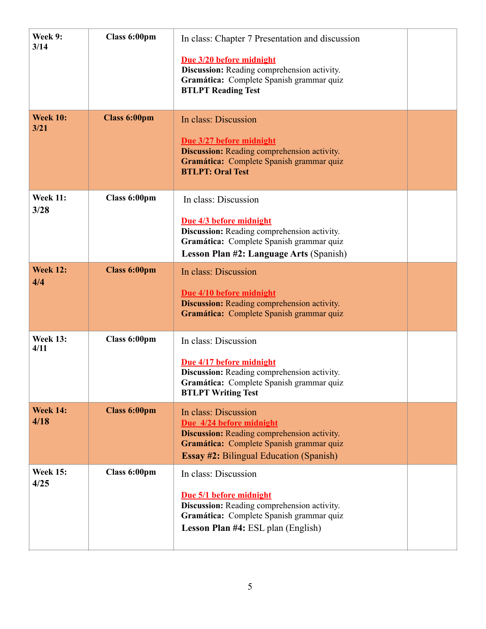| Week 9:<br>3/14         | Class 6:00pm        | In class: Chapter 7 Presentation and discussion<br>Due 3/20 before midnight<br>Discussion: Reading comprehension activity.<br>Gramática: Complete Spanish grammar quiz<br><b>BTLPT Reading Test</b>  |  |
|-------------------------|---------------------|------------------------------------------------------------------------------------------------------------------------------------------------------------------------------------------------------|--|
| <b>Week 10:</b><br>3/21 | <b>Class 6:00pm</b> | In class: Discussion<br>Due 3/27 before midnight<br><b>Discussion:</b> Reading comprehension activity.<br>Gramática: Complete Spanish grammar quiz<br><b>BTLPT: Oral Test</b>                        |  |
| <b>Week 11:</b><br>3/28 | Class 6:00pm        | In class: Discussion<br>Due 4/3 before midnight<br>Discussion: Reading comprehension activity.<br>Gramática: Complete Spanish grammar quiz<br><b>Lesson Plan #2: Language Arts (Spanish)</b>         |  |
| <b>Week 12:</b><br>4/4  | <b>Class 6:00pm</b> | In class: Discussion<br>Due 4/10 before midnight<br><b>Discussion:</b> Reading comprehension activity.<br>Gramática: Complete Spanish grammar quiz                                                   |  |
| <b>Week 13:</b><br>4/11 | Class 6:00pm        | In class: Discussion<br>Due 4/17 before midnight<br>Discussion: Reading comprehension activity.<br>Gramática: Complete Spanish grammar quiz<br><b>BTLPT Writing Test</b>                             |  |
| <b>Week 14:</b><br>4/18 | <b>Class 6:00pm</b> | In class: Discussion<br>Due 4/24 before midnight<br><b>Discussion:</b> Reading comprehension activity.<br>Gramática: Complete Spanish grammar quiz<br><b>Essay #2: Bilingual Education (Spanish)</b> |  |
| <b>Week 15:</b><br>4/25 | Class 6:00pm        | In class: Discussion<br>Due 5/1 before midnight<br>Discussion: Reading comprehension activity.<br>Gramática: Complete Spanish grammar quiz<br><b>Lesson Plan #4: ESL plan (English)</b>              |  |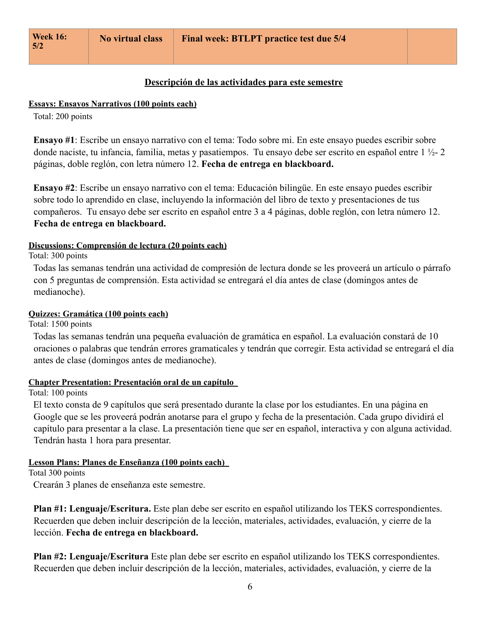### **Descripción de las actividades para este semestre**

#### **Essays: Ensayos Narrativos (100 points each)**

Total: 200 points

**Ensayo #1**: Escribe un ensayo narrativo con el tema: Todo sobre mi. En este ensayo puedes escribir sobre donde naciste, tu infancia, familia, metas y pasatiempos. Tu ensayo debe ser escrito en español entre 1 ½- 2 páginas, doble reglón, con letra número 12. **Fecha de entrega en blackboard.**

**Ensayo #2**: Escribe un ensayo narrativo con el tema: Educación bilingüe. En este ensayo puedes escribir sobre todo lo aprendido en clase, incluyendo la información del libro de texto y presentaciones de tus compañeros. Tu ensayo debe ser escrito en español entre 3 a 4 páginas, doble reglón, con letra número 12. **Fecha de entrega en blackboard.**

### **Discussions: Comprensión de lectura (20 points each)**

Total: 300 points

Todas las semanas tendrán una actividad de compresión de lectura donde se les proveerá un artículo o párrafo con 5 preguntas de comprensión. Esta actividad se entregará el día antes de clase (domingos antes de medianoche).

### **Quizzes: Gramática (100 points each)**

Total: 1500 points

Todas las semanas tendrán una pequeña evaluación de gramática en español. La evaluación constará de 10 oraciones o palabras que tendrán errores gramaticales y tendrán que corregir. Esta actividad se entregará el día antes de clase (domingos antes de medianoche).

### **Chapter Presentation: Presentación oral de un capítulo**

Total: 100 points

El texto consta de 9 capítulos que será presentado durante la clase por los estudiantes. En una página en Google que se les proveerá podrán anotarse para el grupo y fecha de la presentación. Cada grupo dividirá el capítulo para presentar a la clase. La presentación tiene que ser en español, interactiva y con alguna actividad. Tendrán hasta 1 hora para presentar.

#### **Lesson Plans: Planes de Enseñanza (100 points each)**

Total 300 points

Crearán 3 planes de enseñanza este semestre.

**Plan #1: Lenguaje/Escritura.** Este plan debe ser escrito en español utilizando los TEKS correspondientes. Recuerden que deben incluir descripción de la lección, materiales, actividades, evaluación, y cierre de la lección. **Fecha de entrega en blackboard.**

**Plan #2: Lenguaje/Escritura** Este plan debe ser escrito en español utilizando los TEKS correspondientes. Recuerden que deben incluir descripción de la lección, materiales, actividades, evaluación, y cierre de la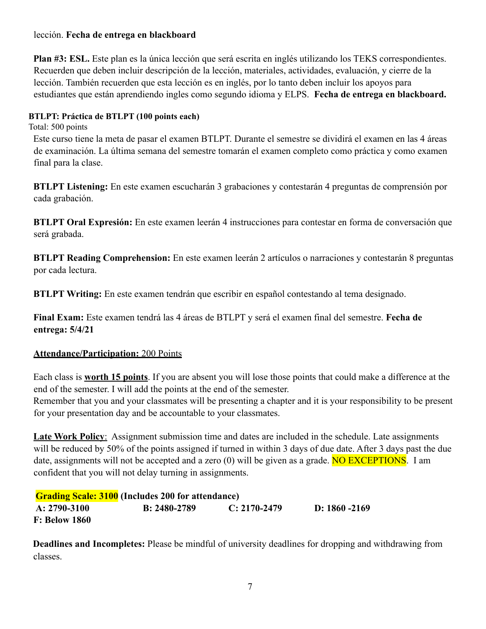# lección. **Fecha de entrega en blackboard**

**Plan #3: ESL.** Este plan es la única lección que será escrita en inglés utilizando los TEKS correspondientes. Recuerden que deben incluir descripción de la lección, materiales, actividades, evaluación, y cierre de la lección. También recuerden que esta lección es en inglés, por lo tanto deben incluir los apoyos para estudiantes que están aprendiendo ingles como segundo idioma y ELPS. **Fecha de entrega en blackboard.**

## **BTLPT: Práctica de BTLPT (100 points each)**

Total: 500 points

Este curso tiene la meta de pasar el examen BTLPT. Durante el semestre se dividirá el examen en las 4 áreas de examinación. La última semana del semestre tomarán el examen completo como práctica y como examen final para la clase.

**BTLPT Listening:** En este examen escucharán 3 grabaciones y contestarán 4 preguntas de comprensión por cada grabación.

**BTLPT Oral Expresión:** En este examen leerán 4 instrucciones para contestar en forma de conversación que será grabada.

**BTLPT Reading Comprehension:** En este examen leerán 2 artículos o narraciones y contestarán 8 preguntas por cada lectura.

**BTLPT Writing:** En este examen tendrán que escribir en español contestando al tema designado.

**Final Exam:** Este examen tendrá las 4 áreas de BTLPT y será el examen final del semestre. **Fecha de entrega: 5/4/21**

## **Attendance/Participation:** 200 Points

Each class is **worth 15 points**. If you are absent you will lose those points that could make a difference at the end of the semester. I will add the points at the end of the semester.

Remember that you and your classmates will be presenting a chapter and it is your responsibility to be present for your presentation day and be accountable to your classmates.

**Late Work Policy**: Assignment submission time and dates are included in the schedule. Late assignments will be reduced by 50% of the points assigned if turned in within 3 days of due date. After 3 days past the due date, assignments will not be accepted and a zero  $(0)$  will be given as a grade. **NO EXCEPTIONS**. I am confident that you will not delay turning in assignments.

**Grading Scale: 3100 (Includes 200 for attendance) A: 2790-3100 B: 2480-2789 C: 2170-2479 D: 1860 -2169 F: Below 1860** 

**Deadlines and Incompletes:** Please be mindful of university deadlines for dropping and withdrawing from classes.